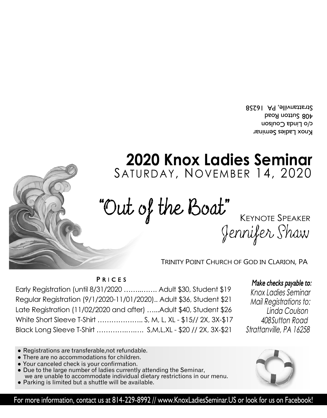Knox Ladies Seminar c/o Finda Coulson 408 Sutton Road Strattanville, PA 16258

## **2020 Knox Ladies Seminar** SATURDAY, NOVEMBER 14, 2020

## Jennifer Shaw "Out of the Boat" KEYNOTE SPEAKER

TRINITY POINT CHURCH OF GOD IN CLARION, PA

PRICES

| Early Registration (until 8/31/2020  Adult \$30, Student \$19       |  |
|---------------------------------------------------------------------|--|
| Regular Registration (9/1/2020-11/01/2020) Adult \$36, Student \$21 |  |
| Late Registration (11/02/2020 and after) Adult \$40, Student \$26   |  |
| White Short Sleeve T-Shirt  S, M, L, XL - \$15// 2X, 3X-\$17        |  |
| Black Long Sleeve T-Shirt  S,M,L,XL - \$20 // 2X, 3X-\$21           |  |

Make checks payable to:

Knox Ladies Seminar Mail Registrations to: Linda Coulson 408 Sutton Road Strattanville, PA 16258

- Registrations are transferable, not refundable.
- There are no accommodations for children.
- Your canceled check is your confirmation.
- Due to the large number of ladies currently attending the Seminar, we are unable to accommodate individual dietary restrictions in our menu.
- Parking is limited but a shuttle will be available.



For more information, contact us at 814-229-8992 // www.KnoxLadiesSeminar.US or look for us on Facebook!